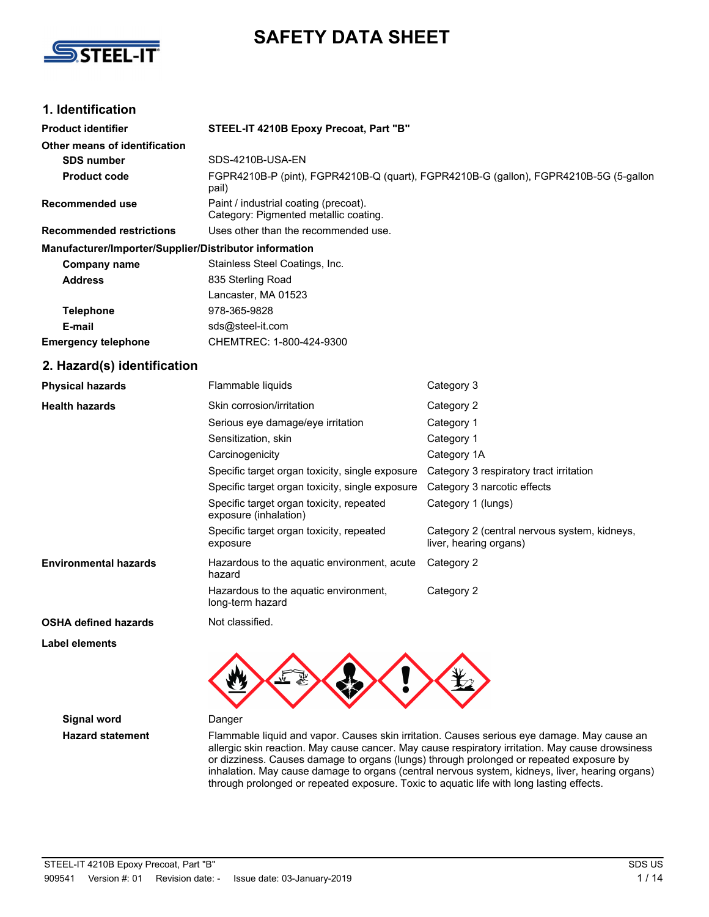

# **SAFETY DATA SHEET**

## **1. Identification**

| <b>Product identifier</b>                              | STEEL-IT 4210B Epoxy Precoat, Part "B"                                                         |                                                                        |  |  |
|--------------------------------------------------------|------------------------------------------------------------------------------------------------|------------------------------------------------------------------------|--|--|
| Other means of identification                          |                                                                                                |                                                                        |  |  |
| <b>SDS number</b>                                      | SDS-4210B-USA-EN                                                                               |                                                                        |  |  |
| <b>Product code</b>                                    | FGPR4210B-P (pint), FGPR4210B-Q (quart), FGPR4210B-G (gallon), FGPR4210B-5G (5-gallon<br>pail) |                                                                        |  |  |
| <b>Recommended use</b>                                 | Paint / industrial coating (precoat).<br>Category: Pigmented metallic coating.                 |                                                                        |  |  |
| <b>Recommended restrictions</b>                        | Uses other than the recommended use.                                                           |                                                                        |  |  |
| Manufacturer/Importer/Supplier/Distributor information |                                                                                                |                                                                        |  |  |
| <b>Company name</b>                                    | Stainless Steel Coatings, Inc.                                                                 |                                                                        |  |  |
| <b>Address</b>                                         | 835 Sterling Road                                                                              |                                                                        |  |  |
|                                                        | Lancaster, MA 01523                                                                            |                                                                        |  |  |
| <b>Telephone</b>                                       | 978-365-9828                                                                                   |                                                                        |  |  |
| E-mail                                                 | sds@steel-it.com                                                                               |                                                                        |  |  |
| <b>Emergency telephone</b>                             | CHEMTREC: 1-800-424-9300                                                                       |                                                                        |  |  |
| 2. Hazard(s) identification                            |                                                                                                |                                                                        |  |  |
| <b>Physical hazards</b>                                | Flammable liquids                                                                              | Category 3                                                             |  |  |
| <b>Health hazards</b>                                  | Skin corrosion/irritation                                                                      | Category 2                                                             |  |  |
|                                                        | Serious eye damage/eye irritation                                                              | Category 1                                                             |  |  |
|                                                        | Sensitization, skin                                                                            | Category 1                                                             |  |  |
|                                                        | Carcinogenicity                                                                                | Category 1A                                                            |  |  |
|                                                        | Specific target organ toxicity, single exposure                                                | Category 3 respiratory tract irritation                                |  |  |
|                                                        | Specific target organ toxicity, single exposure                                                | Category 3 narcotic effects                                            |  |  |
|                                                        | Specific target organ toxicity, repeated<br>exposure (inhalation)                              | Category 1 (lungs)                                                     |  |  |
|                                                        | Specific target organ toxicity, repeated<br>exposure                                           | Category 2 (central nervous system, kidneys,<br>liver, hearing organs) |  |  |
| <b>Environmental hazards</b>                           | Hazardous to the aquatic environment, acute<br>hazard                                          | Category 2                                                             |  |  |
|                                                        | Hazardous to the aquatic environment,                                                          | Category 2                                                             |  |  |

**OSHA defined hazards** Not classified.

**Label elements**



**Signal word** Danger

**Hazard statement** Flammable liquid and vapor. Causes skin irritation. Causes serious eye damage. May cause an allergic skin reaction. May cause cancer. May cause respiratory irritation. May cause drowsiness or dizziness. Causes damage to organs (lungs) through prolonged or repeated exposure by inhalation. May cause damage to organs (central nervous system, kidneys, liver, hearing organs) through prolonged or repeated exposure. Toxic to aquatic life with long lasting effects.

long-term hazard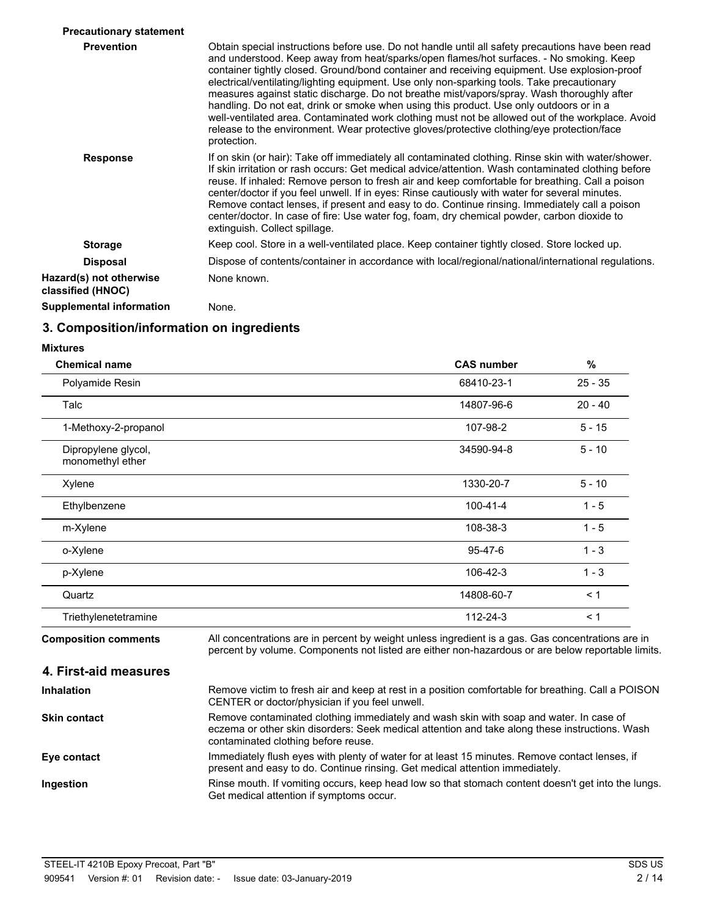| <b>Precautionary statement</b>               |                                                                                                                                                                                                                                                                                                                                                                                                                                                                                                                                                                                                                                                                                                                                                                                                      |
|----------------------------------------------|------------------------------------------------------------------------------------------------------------------------------------------------------------------------------------------------------------------------------------------------------------------------------------------------------------------------------------------------------------------------------------------------------------------------------------------------------------------------------------------------------------------------------------------------------------------------------------------------------------------------------------------------------------------------------------------------------------------------------------------------------------------------------------------------------|
| <b>Prevention</b>                            | Obtain special instructions before use. Do not handle until all safety precautions have been read<br>and understood. Keep away from heat/sparks/open flames/hot surfaces. - No smoking. Keep<br>container tightly closed. Ground/bond container and receiving equipment. Use explosion-proof<br>electrical/ventilating/lighting equipment. Use only non-sparking tools. Take precautionary<br>measures against static discharge. Do not breathe mist/vapors/spray. Wash thoroughly after<br>handling. Do not eat, drink or smoke when using this product. Use only outdoors or in a<br>well-ventilated area. Contaminated work clothing must not be allowed out of the workplace. Avoid<br>release to the environment. Wear protective gloves/protective clothing/eye protection/face<br>protection. |
| <b>Response</b>                              | If on skin (or hair): Take off immediately all contaminated clothing. Rinse skin with water/shower.<br>If skin irritation or rash occurs: Get medical advice/attention. Wash contaminated clothing before<br>reuse. If inhaled: Remove person to fresh air and keep comfortable for breathing. Call a poison<br>center/doctor if you feel unwell. If in eyes: Rinse cautiously with water for several minutes.<br>Remove contact lenses, if present and easy to do. Continue rinsing. Immediately call a poison<br>center/doctor. In case of fire: Use water fog, foam, dry chemical powder, carbon dioxide to<br>extinguish. Collect spillage.                                                                                                                                                      |
| <b>Storage</b>                               | Keep cool. Store in a well-ventilated place. Keep container tightly closed. Store locked up.                                                                                                                                                                                                                                                                                                                                                                                                                                                                                                                                                                                                                                                                                                         |
| <b>Disposal</b>                              | Dispose of contents/container in accordance with local/regional/national/international regulations.                                                                                                                                                                                                                                                                                                                                                                                                                                                                                                                                                                                                                                                                                                  |
| Hazard(s) not otherwise<br>classified (HNOC) | None known.                                                                                                                                                                                                                                                                                                                                                                                                                                                                                                                                                                                                                                                                                                                                                                                          |
| <b>Supplemental information</b>              | None.                                                                                                                                                                                                                                                                                                                                                                                                                                                                                                                                                                                                                                                                                                                                                                                                |

## **3. Composition/information on ingredients**

#### **Mixtures**

| <b>Chemical name</b>                    | <b>CAS number</b>                                                                                                                                                                                      | %         |
|-----------------------------------------|--------------------------------------------------------------------------------------------------------------------------------------------------------------------------------------------------------|-----------|
| Polyamide Resin                         | 68410-23-1                                                                                                                                                                                             | $25 - 35$ |
| Talc                                    | 14807-96-6                                                                                                                                                                                             | $20 - 40$ |
| 1-Methoxy-2-propanol                    | 107-98-2                                                                                                                                                                                               | $5 - 15$  |
| Dipropylene glycol,<br>monomethyl ether | 34590-94-8                                                                                                                                                                                             | $5 - 10$  |
| Xylene                                  | 1330-20-7                                                                                                                                                                                              | $5 - 10$  |
| Ethylbenzene                            | $100 - 41 - 4$                                                                                                                                                                                         | $1 - 5$   |
| m-Xylene                                | 108-38-3                                                                                                                                                                                               | $1 - 5$   |
| o-Xylene                                | $95 - 47 - 6$                                                                                                                                                                                          | $1 - 3$   |
| p-Xylene                                | 106-42-3                                                                                                                                                                                               | $1 - 3$   |
| Quartz                                  | 14808-60-7                                                                                                                                                                                             | < 1       |
| Triethylenetetramine                    | 112-24-3                                                                                                                                                                                               | < 1       |
| <b>Composition comments</b>             | All concentrations are in percent by weight unless ingredient is a gas. Gas concentrations are in<br>percent by volume. Components not listed are either non-hazardous or are below reportable limits. |           |
| 4. First-aid measures                   |                                                                                                                                                                                                        |           |
| <b>Inhalation</b>                       | Remove victim to fresh air and keep at rest in a position comfortable for breathing. Call a POISON<br>CENTER or doctor/physician if you feel unwell.                                                   |           |

Remove contaminated clothing immediately and wash skin with soap and water. In case of eczema or other skin disorders: Seek medical attention and take along these instructions. Wash contaminated clothing before reuse. **Skin contact** Immediately flush eyes with plenty of water for at least 15 minutes. Remove contact lenses, if present and easy to do. Continue rinsing. Get medical attention immediately. **Eye contact**

Rinse mouth. If vomiting occurs, keep head low so that stomach content doesn't get into the lungs. Get medical attention if symptoms occur. **Ingestion**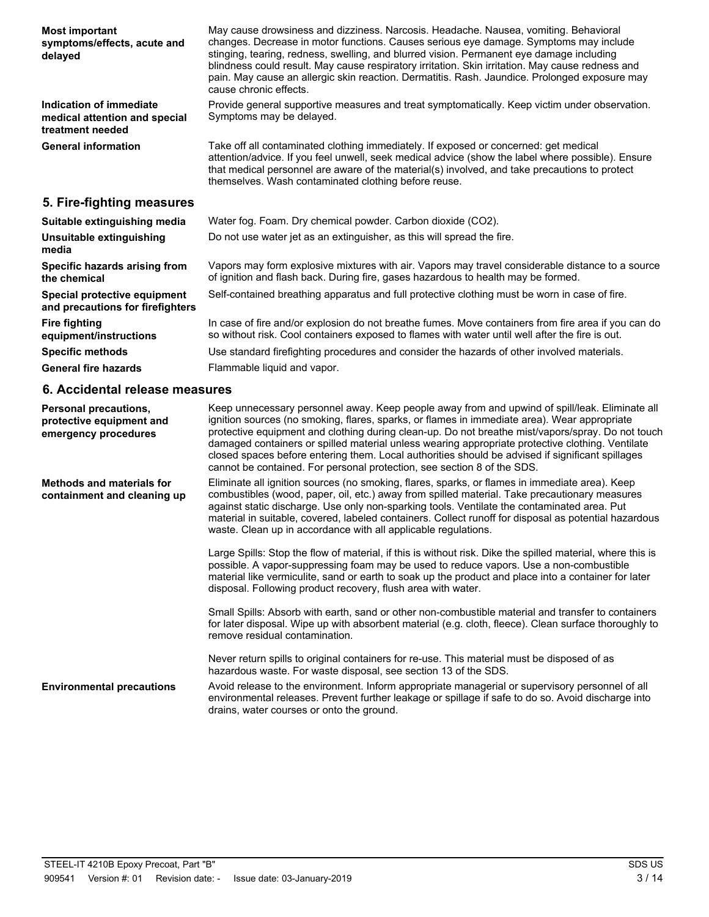| <b>Most important</b><br>symptoms/effects, acute and<br>delayed                  | May cause drowsiness and dizziness. Narcosis. Headache. Nausea, vomiting. Behavioral<br>changes. Decrease in motor functions. Causes serious eye damage. Symptoms may include<br>stinging, tearing, redness, swelling, and blurred vision. Permanent eye damage including<br>blindness could result. May cause respiratory irritation. Skin irritation. May cause redness and<br>pain. May cause an allergic skin reaction. Dermatitis. Rash. Jaundice. Prolonged exposure may<br>cause chronic effects.                                                                               |
|----------------------------------------------------------------------------------|----------------------------------------------------------------------------------------------------------------------------------------------------------------------------------------------------------------------------------------------------------------------------------------------------------------------------------------------------------------------------------------------------------------------------------------------------------------------------------------------------------------------------------------------------------------------------------------|
| Indication of immediate<br>medical attention and special<br>treatment needed     | Provide general supportive measures and treat symptomatically. Keep victim under observation.<br>Symptoms may be delayed.                                                                                                                                                                                                                                                                                                                                                                                                                                                              |
| <b>General information</b>                                                       | Take off all contaminated clothing immediately. If exposed or concerned: get medical<br>attention/advice. If you feel unwell, seek medical advice (show the label where possible). Ensure<br>that medical personnel are aware of the material(s) involved, and take precautions to protect<br>themselves. Wash contaminated clothing before reuse.                                                                                                                                                                                                                                     |
| 5. Fire-fighting measures                                                        |                                                                                                                                                                                                                                                                                                                                                                                                                                                                                                                                                                                        |
| Suitable extinguishing media                                                     | Water fog. Foam. Dry chemical powder. Carbon dioxide (CO2).                                                                                                                                                                                                                                                                                                                                                                                                                                                                                                                            |
| Unsuitable extinguishing<br>media                                                | Do not use water jet as an extinguisher, as this will spread the fire.                                                                                                                                                                                                                                                                                                                                                                                                                                                                                                                 |
| Specific hazards arising from<br>the chemical                                    | Vapors may form explosive mixtures with air. Vapors may travel considerable distance to a source<br>of ignition and flash back. During fire, gases hazardous to health may be formed.                                                                                                                                                                                                                                                                                                                                                                                                  |
| Special protective equipment<br>and precautions for firefighters                 | Self-contained breathing apparatus and full protective clothing must be worn in case of fire.                                                                                                                                                                                                                                                                                                                                                                                                                                                                                          |
| <b>Fire fighting</b><br>equipment/instructions                                   | In case of fire and/or explosion do not breathe fumes. Move containers from fire area if you can do<br>so without risk. Cool containers exposed to flames with water until well after the fire is out.                                                                                                                                                                                                                                                                                                                                                                                 |
| <b>Specific methods</b>                                                          | Use standard firefighting procedures and consider the hazards of other involved materials.                                                                                                                                                                                                                                                                                                                                                                                                                                                                                             |
| <b>General fire hazards</b>                                                      | Flammable liquid and vapor.                                                                                                                                                                                                                                                                                                                                                                                                                                                                                                                                                            |
| 6. Accidental release measures                                                   |                                                                                                                                                                                                                                                                                                                                                                                                                                                                                                                                                                                        |
| <b>Personal precautions,</b><br>protective equipment and<br>emergency procedures | Keep unnecessary personnel away. Keep people away from and upwind of spill/leak. Eliminate all<br>ignition sources (no smoking, flares, sparks, or flames in immediate area). Wear appropriate<br>protective equipment and clothing during clean-up. Do not breathe mist/vapors/spray. Do not touch<br>damaged containers or spilled material unless wearing appropriate protective clothing. Ventilate<br>closed spaces before entering them. Local authorities should be advised if significant spillages<br>cannot be contained. For personal protection, see section 8 of the SDS. |
| <b>Methods and materials for</b><br>containment and cleaning up                  | Eliminate all ignition sources (no smoking, flares, sparks, or flames in immediate area). Keep<br>combustibles (wood, paper, oil, etc.) away from spilled material. Take precautionary measures<br>against static discharge. Use only non-sparking tools. Ventilate the contaminated area. Put<br>material in suitable, covered, labeled containers. Collect runoff for disposal as potential hazardous<br>waste. Clean up in accordance with all applicable regulations.                                                                                                              |

Large Spills: Stop the flow of material, if this is without risk. Dike the spilled material, where this is possible. A vapor-suppressing foam may be used to reduce vapors. Use a non-combustible material like vermiculite, sand or earth to soak up the product and place into a container for later disposal. Following product recovery, flush area with water.

Small Spills: Absorb with earth, sand or other non-combustible material and transfer to containers for later disposal. Wipe up with absorbent material (e.g. cloth, fleece). Clean surface thoroughly to remove residual contamination.

Never return spills to original containers for re-use. This material must be disposed of as hazardous waste. For waste disposal, see section 13 of the SDS.

Avoid release to the environment. Inform appropriate managerial or supervisory personnel of all environmental releases. Prevent further leakage or spillage if safe to do so. Avoid discharge into drains, water courses or onto the ground. **Environmental precautions**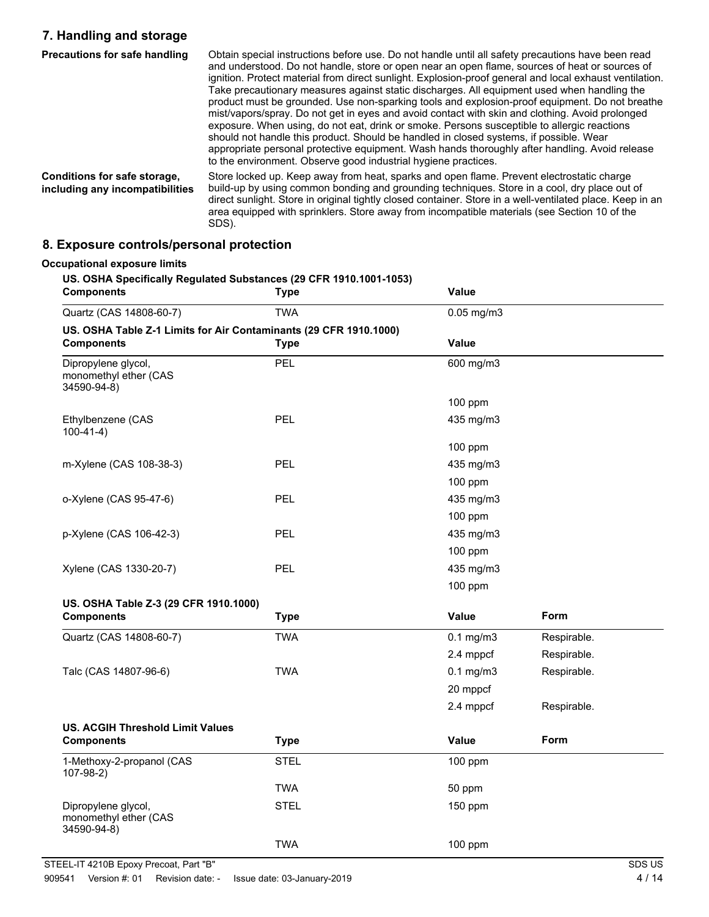## **7. Handling and storage**

| Precautions for safe handling                                   | Obtain special instructions before use. Do not handle until all safety precautions have been read<br>and understood. Do not handle, store or open near an open flame, sources of heat or sources of<br>ignition. Protect material from direct sunlight. Explosion-proof general and local exhaust ventilation.<br>Take precautionary measures against static discharges. All equipment used when handling the<br>product must be grounded. Use non-sparking tools and explosion-proof equipment. Do not breathe<br>mist/vapors/spray. Do not get in eyes and avoid contact with skin and clothing. Avoid prolonged<br>exposure. When using, do not eat, drink or smoke. Persons susceptible to allergic reactions<br>should not handle this product. Should be handled in closed systems, if possible. Wear<br>appropriate personal protective equipment. Wash hands thoroughly after handling. Avoid release<br>to the environment. Observe good industrial hygiene practices. |
|-----------------------------------------------------------------|---------------------------------------------------------------------------------------------------------------------------------------------------------------------------------------------------------------------------------------------------------------------------------------------------------------------------------------------------------------------------------------------------------------------------------------------------------------------------------------------------------------------------------------------------------------------------------------------------------------------------------------------------------------------------------------------------------------------------------------------------------------------------------------------------------------------------------------------------------------------------------------------------------------------------------------------------------------------------------|
| Conditions for safe storage,<br>including any incompatibilities | Store locked up. Keep away from heat, sparks and open flame. Prevent electrostatic charge<br>build-up by using common bonding and grounding techniques. Store in a cool, dry place out of<br>direct sunlight. Store in original tightly closed container. Store in a well-ventilated place. Keep in an<br>area equipped with sprinklers. Store away from incompatible materials (see Section 10 of the<br>SDS).                                                                                                                                                                                                                                                                                                                                                                                                                                                                                                                                                                 |

## **8. Exposure controls/personal protection**

| <b>Components</b>                                                 | <b>Type</b> | Value           |             |
|-------------------------------------------------------------------|-------------|-----------------|-------------|
| Quartz (CAS 14808-60-7)                                           | <b>TWA</b>  | $0.05$ mg/m $3$ |             |
| US. OSHA Table Z-1 Limits for Air Contaminants (29 CFR 1910.1000) |             |                 |             |
| <b>Components</b>                                                 | <b>Type</b> | Value           |             |
| Dipropylene glycol,<br>monomethyl ether (CAS<br>34590-94-8)       | PEL         | 600 mg/m3       |             |
|                                                                   |             | 100 ppm         |             |
| Ethylbenzene (CAS<br>$100-41-4)$                                  | <b>PEL</b>  | 435 mg/m3       |             |
|                                                                   |             | 100 ppm         |             |
| m-Xylene (CAS 108-38-3)                                           | <b>PEL</b>  | 435 mg/m3       |             |
|                                                                   |             | 100 ppm         |             |
| o-Xylene (CAS 95-47-6)                                            | PEL         | 435 mg/m3       |             |
|                                                                   |             | 100 ppm         |             |
| p-Xylene (CAS 106-42-3)                                           | PEL         | 435 mg/m3       |             |
|                                                                   |             | 100 ppm         |             |
| Xylene (CAS 1330-20-7)                                            | <b>PEL</b>  | 435 mg/m3       |             |
|                                                                   |             | 100 ppm         |             |
| US. OSHA Table Z-3 (29 CFR 1910.1000)                             |             |                 |             |
| <b>Components</b>                                                 | <b>Type</b> | <b>Value</b>    | <b>Form</b> |
| Quartz (CAS 14808-60-7)                                           | <b>TWA</b>  | $0.1$ mg/m $3$  | Respirable. |
|                                                                   |             | 2.4 mppcf       | Respirable. |
| Talc (CAS 14807-96-6)                                             | <b>TWA</b>  | $0.1$ mg/m $3$  | Respirable. |
|                                                                   |             | 20 mppcf        |             |
|                                                                   |             | 2.4 mppcf       | Respirable. |
| <b>US. ACGIH Threshold Limit Values</b>                           |             |                 |             |
| <b>Components</b>                                                 | <b>Type</b> | <b>Value</b>    | Form        |
| 1-Methoxy-2-propanol (CAS<br>$107-98-2)$                          | <b>STEL</b> | 100 ppm         |             |
|                                                                   | <b>TWA</b>  | 50 ppm          |             |
| Dipropylene glycol,                                               | <b>STEL</b> | 150 ppm         |             |
| monomethyl ether (CAS<br>34590-94-8)                              |             |                 |             |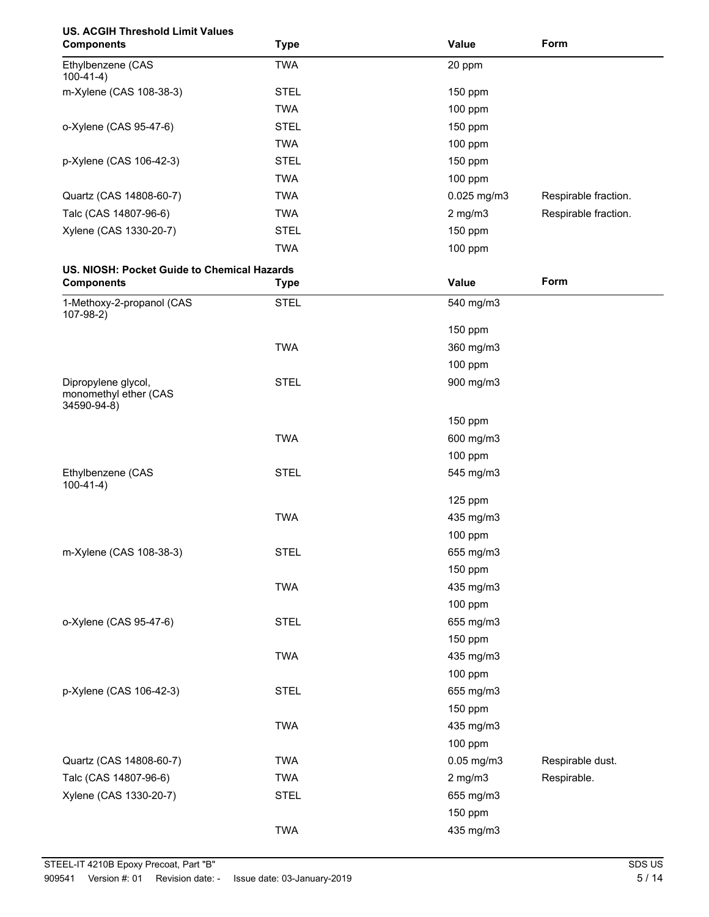| <b>US. ACGIH Threshold Limit Values</b><br><b>Components</b> | <b>Type</b> | Value        | Form                 |
|--------------------------------------------------------------|-------------|--------------|----------------------|
| Ethylbenzene (CAS<br>$100-41-4)$                             | <b>TWA</b>  | 20 ppm       |                      |
| m-Xylene (CAS 108-38-3)                                      | <b>STEL</b> | 150 ppm      |                      |
|                                                              | <b>TWA</b>  | 100 ppm      |                      |
| o-Xylene (CAS 95-47-6)                                       | <b>STEL</b> | 150 ppm      |                      |
|                                                              | <b>TWA</b>  | 100 ppm      |                      |
| p-Xylene (CAS 106-42-3)                                      | <b>STEL</b> | 150 ppm      |                      |
|                                                              | <b>TWA</b>  | 100 ppm      |                      |
| Quartz (CAS 14808-60-7)                                      | <b>TWA</b>  | 0.025 mg/m3  | Respirable fraction. |
| Talc (CAS 14807-96-6)                                        | <b>TWA</b>  | $2$ mg/m $3$ | Respirable fraction. |
| Xylene (CAS 1330-20-7)                                       | <b>STEL</b> | 150 ppm      |                      |
|                                                              | <b>TWA</b>  | 100 ppm      |                      |
| US. NIOSH: Pocket Guide to Chemical Hazards                  |             |              |                      |
| <b>Components</b>                                            | <b>Type</b> | Value        | Form                 |
| 1-Methoxy-2-propanol (CAS<br>$107-98-2)$                     | <b>STEL</b> | 540 mg/m3    |                      |
|                                                              |             | 150 ppm      |                      |
|                                                              | <b>TWA</b>  | 360 mg/m3    |                      |
|                                                              |             | 100 ppm      |                      |
| Dipropylene glycol,<br>monomethyl ether (CAS<br>34590-94-8)  | <b>STEL</b> | 900 mg/m3    |                      |
|                                                              |             | 150 ppm      |                      |
|                                                              | <b>TWA</b>  | 600 mg/m3    |                      |
|                                                              |             | 100 ppm      |                      |
| Ethylbenzene (CAS<br>$100-41-4)$                             | <b>STEL</b> | 545 mg/m3    |                      |
|                                                              |             | 125 ppm      |                      |
|                                                              | <b>TWA</b>  | 435 mg/m3    |                      |
|                                                              |             | 100 ppm      |                      |
| m-Xylene (CAS 108-38-3)                                      | <b>STEL</b> | 655 mg/m3    |                      |
|                                                              |             | 150 ppm      |                      |
|                                                              | <b>TWA</b>  | 435 mg/m3    |                      |
|                                                              |             | 100 ppm      |                      |
| o-Xylene (CAS 95-47-6)                                       | <b>STEL</b> | 655 mg/m3    |                      |
|                                                              |             | 150 ppm      |                      |
|                                                              | <b>TWA</b>  | 435 mg/m3    |                      |
|                                                              |             | 100 ppm      |                      |
| p-Xylene (CAS 106-42-3)                                      | <b>STEL</b> | 655 mg/m3    |                      |
|                                                              |             | 150 ppm      |                      |
|                                                              | <b>TWA</b>  | 435 mg/m3    |                      |
|                                                              |             | 100 ppm      |                      |
| Quartz (CAS 14808-60-7)                                      | <b>TWA</b>  | 0.05 mg/m3   | Respirable dust.     |
| Talc (CAS 14807-96-6)                                        | <b>TWA</b>  | $2$ mg/m $3$ | Respirable.          |
| Xylene (CAS 1330-20-7)                                       | <b>STEL</b> | 655 mg/m3    |                      |
|                                                              |             | 150 ppm      |                      |
|                                                              | <b>TWA</b>  | 435 mg/m3    |                      |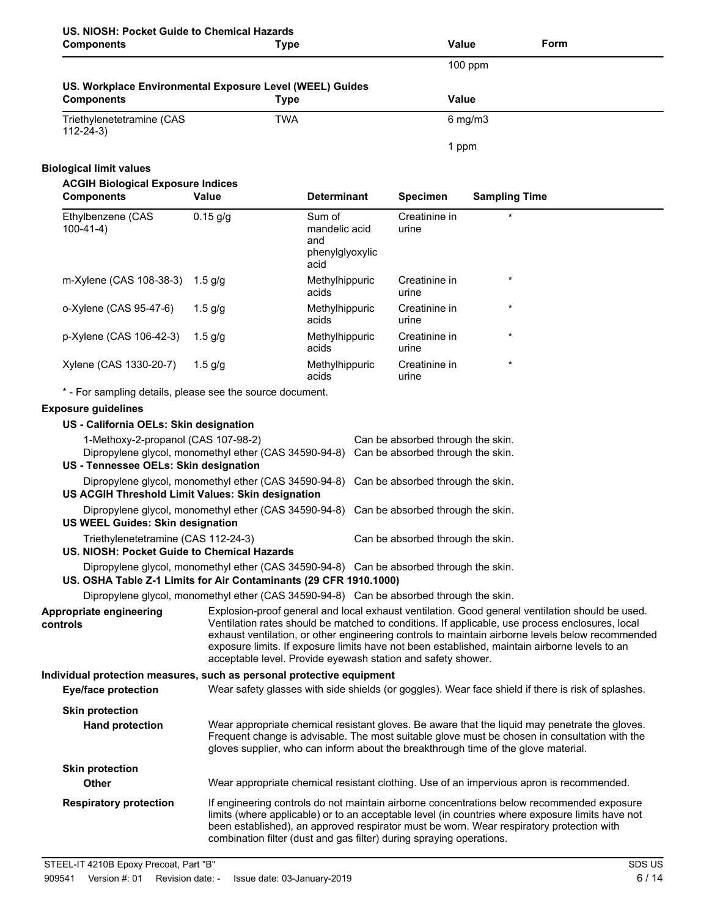| US. NIOSH: Pocket Guide to Chemical Hazards<br><b>Components</b>                                                       | <b>Type</b>                                                                                                                           |                                                   | <b>Value</b>                      |                      | Form                                                                                                                                                                                                                                                                                                                                                                                                    |
|------------------------------------------------------------------------------------------------------------------------|---------------------------------------------------------------------------------------------------------------------------------------|---------------------------------------------------|-----------------------------------|----------------------|---------------------------------------------------------------------------------------------------------------------------------------------------------------------------------------------------------------------------------------------------------------------------------------------------------------------------------------------------------------------------------------------------------|
|                                                                                                                        |                                                                                                                                       |                                                   |                                   | 100 ppm              |                                                                                                                                                                                                                                                                                                                                                                                                         |
| US. Workplace Environmental Exposure Level (WEEL) Guides                                                               |                                                                                                                                       |                                                   |                                   |                      |                                                                                                                                                                                                                                                                                                                                                                                                         |
| <b>Components</b>                                                                                                      | <b>Type</b>                                                                                                                           |                                                   | <b>Value</b>                      |                      |                                                                                                                                                                                                                                                                                                                                                                                                         |
| Triethylenetetramine (CAS<br>$112 - 24 - 3$                                                                            | <b>TWA</b>                                                                                                                            |                                                   |                                   | $6$ mg/m $3$         |                                                                                                                                                                                                                                                                                                                                                                                                         |
|                                                                                                                        |                                                                                                                                       |                                                   | 1 ppm                             |                      |                                                                                                                                                                                                                                                                                                                                                                                                         |
| <b>Biological limit values</b>                                                                                         |                                                                                                                                       |                                                   |                                   |                      |                                                                                                                                                                                                                                                                                                                                                                                                         |
| <b>ACGIH Biological Exposure Indices</b><br><b>Components</b>                                                          | Value                                                                                                                                 | <b>Determinant</b>                                | <b>Specimen</b>                   | <b>Sampling Time</b> |                                                                                                                                                                                                                                                                                                                                                                                                         |
| Ethylbenzene (CAS<br>$100-41-4)$                                                                                       | $0.15$ g/g                                                                                                                            | Sum of<br>mandelic acid<br>and<br>phenylglyoxylic | Creatinine in<br>urine            |                      |                                                                                                                                                                                                                                                                                                                                                                                                         |
| m-Xylene (CAS 108-38-3)                                                                                                | 1.5 $g/g$                                                                                                                             | acid<br>Methylhippuric<br>acids                   | Creatinine in<br>urine            | $\star$              |                                                                                                                                                                                                                                                                                                                                                                                                         |
| o-Xylene (CAS 95-47-6)                                                                                                 | $1.5$ g/g                                                                                                                             | Methylhippuric<br>acids                           | Creatinine in<br>urine            | $\star$              |                                                                                                                                                                                                                                                                                                                                                                                                         |
| p-Xylene (CAS 106-42-3)                                                                                                | $1.5$ g/g                                                                                                                             | Methylhippuric<br>acids                           | Creatinine in<br>urine            | $\star$              |                                                                                                                                                                                                                                                                                                                                                                                                         |
| Xylene (CAS 1330-20-7)                                                                                                 | $1.5$ g/g                                                                                                                             | Methylhippuric<br>acids                           | Creatinine in<br>urine            | $\star$              |                                                                                                                                                                                                                                                                                                                                                                                                         |
| * - For sampling details, please see the source document.                                                              |                                                                                                                                       |                                                   |                                   |                      |                                                                                                                                                                                                                                                                                                                                                                                                         |
| <b>Exposure guidelines</b>                                                                                             |                                                                                                                                       |                                                   |                                   |                      |                                                                                                                                                                                                                                                                                                                                                                                                         |
| US - California OELs: Skin designation<br>1-Methoxy-2-propanol (CAS 107-98-2)<br>US - Tennessee OELs: Skin designation | Dipropylene glycol, monomethyl ether (CAS 34590-94-8) Can be absorbed through the skin.                                               |                                                   | Can be absorbed through the skin. |                      |                                                                                                                                                                                                                                                                                                                                                                                                         |
| US ACGIH Threshold Limit Values: Skin designation                                                                      | Dipropylene glycol, monomethyl ether (CAS 34590-94-8)                                                                                 |                                                   | Can be absorbed through the skin. |                      |                                                                                                                                                                                                                                                                                                                                                                                                         |
|                                                                                                                        | Dipropylene glycol, monomethyl ether (CAS 34590-94-8)<br>Can be absorbed through the skin.<br><b>US WEEL Guides: Skin designation</b> |                                                   |                                   |                      |                                                                                                                                                                                                                                                                                                                                                                                                         |
| Triethylenetetramine (CAS 112-24-3)<br>US. NIOSH: Pocket Guide to Chemical Hazards                                     |                                                                                                                                       |                                                   | Can be absorbed through the skin. |                      |                                                                                                                                                                                                                                                                                                                                                                                                         |
| US. OSHA Table Z-1 Limits for Air Contaminants (29 CFR 1910.1000)                                                      | Dipropylene glycol, monomethyl ether (CAS 34590-94-8) Can be absorbed through the skin.                                               |                                                   |                                   |                      |                                                                                                                                                                                                                                                                                                                                                                                                         |
|                                                                                                                        | Dipropylene glycol, monomethyl ether (CAS 34590-94-8) Can be absorbed through the skin.                                               |                                                   |                                   |                      |                                                                                                                                                                                                                                                                                                                                                                                                         |
| Appropriate engineering<br>controls                                                                                    | acceptable level. Provide eyewash station and safety shower.                                                                          |                                                   |                                   |                      | Explosion-proof general and local exhaust ventilation. Good general ventilation should be used.<br>Ventilation rates should be matched to conditions. If applicable, use process enclosures, local<br>exhaust ventilation, or other engineering controls to maintain airborne levels below recommended<br>exposure limits. If exposure limits have not been established, maintain airborne levels to an |
| Individual protection measures, such as personal protective equipment<br><b>Eye/face protection</b>                    |                                                                                                                                       |                                                   |                                   |                      | Wear safety glasses with side shields (or goggles). Wear face shield if there is risk of splashes.                                                                                                                                                                                                                                                                                                      |
| <b>Skin protection</b><br><b>Hand protection</b>                                                                       | gloves supplier, who can inform about the breakthrough time of the glove material.                                                    |                                                   |                                   |                      | Wear appropriate chemical resistant gloves. Be aware that the liquid may penetrate the gloves.<br>Frequent change is advisable. The most suitable glove must be chosen in consultation with the                                                                                                                                                                                                         |
| <b>Skin protection</b><br><b>Other</b>                                                                                 |                                                                                                                                       |                                                   |                                   |                      | Wear appropriate chemical resistant clothing. Use of an impervious apron is recommended.                                                                                                                                                                                                                                                                                                                |
| <b>Respiratory protection</b>                                                                                          | combination filter (dust and gas filter) during spraying operations.                                                                  |                                                   |                                   |                      | If engineering controls do not maintain airborne concentrations below recommended exposure<br>limits (where applicable) or to an acceptable level (in countries where exposure limits have not<br>been established), an approved respirator must be worn. Wear respiratory protection with                                                                                                              |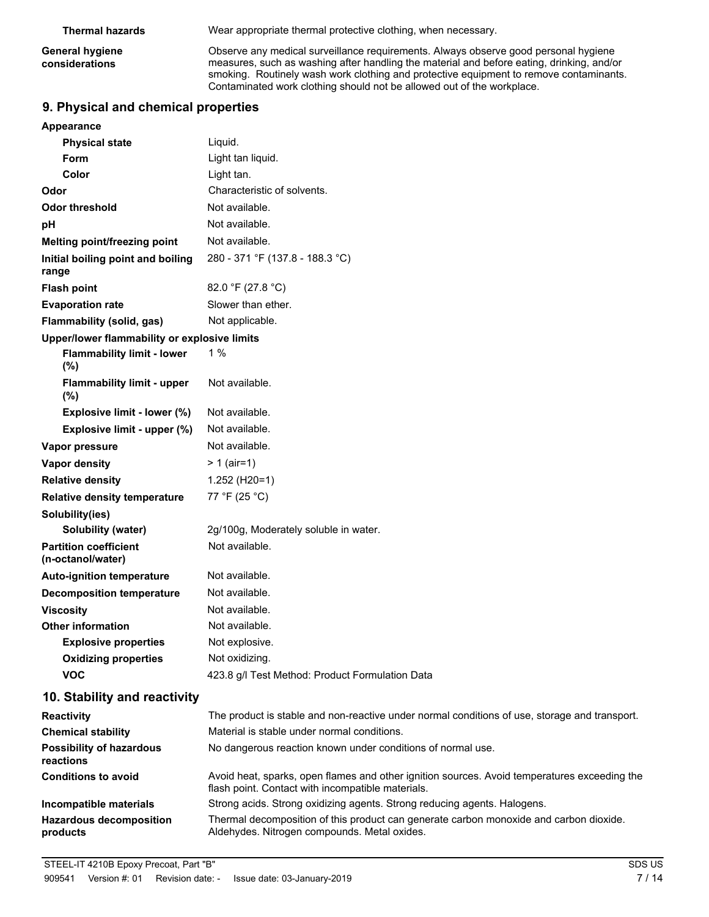**General hygiene considerations**

**Thermal hazards** Wear appropriate thermal protective clothing, when necessary.

Observe any medical surveillance requirements. Always observe good personal hygiene measures, such as washing after handling the material and before eating, drinking, and/or smoking. Routinely wash work clothing and protective equipment to remove contaminants. Contaminated work clothing should not be allowed out of the workplace.

## **9. Physical and chemical properties**

| Appearance                                        |                                                                                                                                                   |
|---------------------------------------------------|---------------------------------------------------------------------------------------------------------------------------------------------------|
| <b>Physical state</b>                             | Liquid.                                                                                                                                           |
| Form                                              | Light tan liquid.                                                                                                                                 |
| Color                                             | Light tan.                                                                                                                                        |
| Odor                                              | Characteristic of solvents.                                                                                                                       |
| <b>Odor threshold</b>                             | Not available.                                                                                                                                    |
| pH                                                | Not available.                                                                                                                                    |
| Melting point/freezing point                      | Not available.                                                                                                                                    |
| Initial boiling point and boiling<br>range        | 280 - 371 °F (137.8 - 188.3 °C)                                                                                                                   |
| <b>Flash point</b>                                | 82.0 °F (27.8 °C)                                                                                                                                 |
| <b>Evaporation rate</b>                           | Slower than ether.                                                                                                                                |
| Flammability (solid, gas)                         | Not applicable.                                                                                                                                   |
| Upper/lower flammability or explosive limits      |                                                                                                                                                   |
| <b>Flammability limit - lower</b><br>(%)          | 1%                                                                                                                                                |
| <b>Flammability limit - upper</b><br>$(\%)$       | Not available.                                                                                                                                    |
| Explosive limit - lower (%)                       | Not available.                                                                                                                                    |
| Explosive limit - upper (%)                       | Not available.                                                                                                                                    |
| Vapor pressure                                    | Not available.                                                                                                                                    |
| Vapor density                                     | $> 1$ (air=1)                                                                                                                                     |
| <b>Relative density</b>                           | 1.252 (H20=1)                                                                                                                                     |
| <b>Relative density temperature</b>               | 77 °F (25 °C)                                                                                                                                     |
| Solubility(ies)                                   |                                                                                                                                                   |
| <b>Solubility (water)</b>                         | 2g/100g, Moderately soluble in water.                                                                                                             |
| <b>Partition coefficient</b><br>(n-octanol/water) | Not available.                                                                                                                                    |
| <b>Auto-ignition temperature</b>                  | Not available.                                                                                                                                    |
| <b>Decomposition temperature</b>                  | Not available.                                                                                                                                    |
| <b>Viscosity</b>                                  | Not available.                                                                                                                                    |
| <b>Other information</b>                          | Not available.                                                                                                                                    |
| <b>Explosive properties</b>                       | Not explosive.                                                                                                                                    |
| <b>Oxidizing properties</b>                       | Not oxidizing.                                                                                                                                    |
| <b>VOC</b>                                        | 423.8 g/l Test Method: Product Formulation Data                                                                                                   |
| 10. Stability and reactivity                      |                                                                                                                                                   |
| <b>Reactivity</b>                                 | The product is stable and non-reactive under normal conditions of use, storage and transport.                                                     |
| <b>Chemical stability</b>                         | Material is stable under normal conditions.                                                                                                       |
| <b>Possibility of hazardous</b><br>reactions      | No dangerous reaction known under conditions of normal use.                                                                                       |
| <b>Conditions to avoid</b>                        | Avoid heat, sparks, open flames and other ignition sources. Avoid temperatures exceeding the<br>flash point. Contact with incompatible materials. |
| Incompatible materials                            | Strong acids. Strong oxidizing agents. Strong reducing agents. Halogens.                                                                          |
| <b>Hazardous decomposition</b><br>products        | Thermal decomposition of this product can generate carbon monoxide and carbon dioxide.<br>Aldehydes. Nitrogen compounds. Metal oxides.            |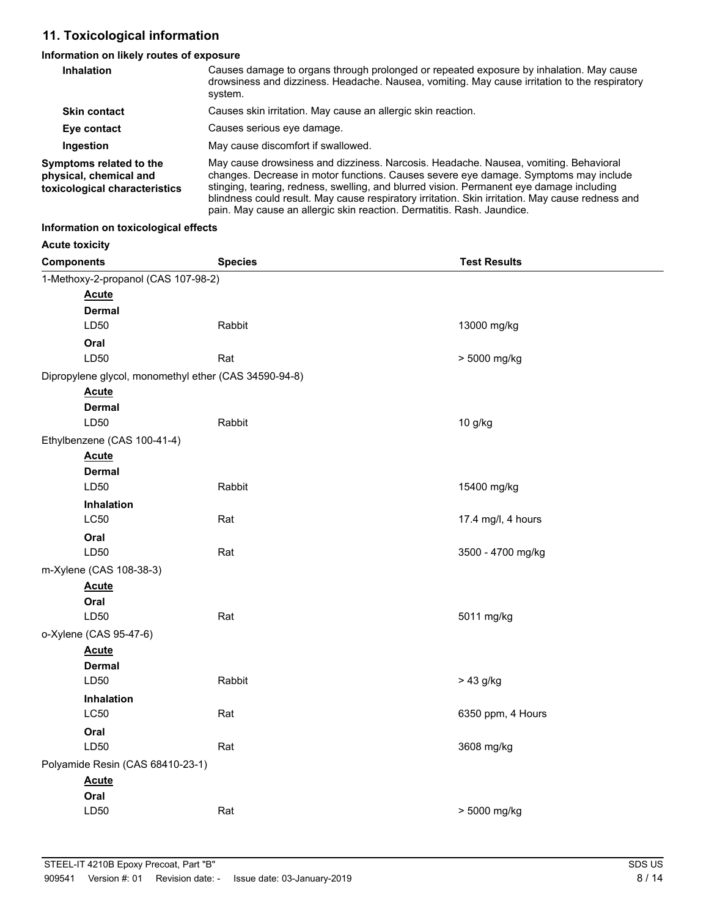## **11. Toxicological information**

## **Information on likely routes of exposure**

| <b>Inhalation</b>                                                                  | Causes damage to organs through prolonged or repeated exposure by inhalation. May cause<br>drowsiness and dizziness. Headache. Nausea, vomiting. May cause irritation to the respiratory<br>system.                                                                                                                                                                                                                                                    |
|------------------------------------------------------------------------------------|--------------------------------------------------------------------------------------------------------------------------------------------------------------------------------------------------------------------------------------------------------------------------------------------------------------------------------------------------------------------------------------------------------------------------------------------------------|
| <b>Skin contact</b>                                                                | Causes skin irritation. May cause an allergic skin reaction.                                                                                                                                                                                                                                                                                                                                                                                           |
| Eye contact                                                                        | Causes serious eye damage.                                                                                                                                                                                                                                                                                                                                                                                                                             |
| Ingestion                                                                          | May cause discomfort if swallowed.                                                                                                                                                                                                                                                                                                                                                                                                                     |
| Symptoms related to the<br>physical, chemical and<br>toxicological characteristics | May cause drowsiness and dizziness. Narcosis. Headache. Nausea, vomiting. Behavioral<br>changes. Decrease in motor functions. Causes severe eye damage. Symptoms may include<br>stinging, tearing, redness, swelling, and blurred vision. Permanent eye damage including<br>blindness could result. May cause respiratory irritation. Skin irritation. May cause redness and<br>pain. May cause an allergic skin reaction. Dermatitis. Rash. Jaundice. |

#### **Information on toxicological effects**

**Acute toxicity**

| <b>Components</b> |                                                       | <b>Species</b> | <b>Test Results</b> |  |  |
|-------------------|-------------------------------------------------------|----------------|---------------------|--|--|
|                   | 1-Methoxy-2-propanol (CAS 107-98-2)                   |                |                     |  |  |
|                   | <b>Acute</b>                                          |                |                     |  |  |
|                   | <b>Dermal</b>                                         |                |                     |  |  |
|                   | LD50                                                  | Rabbit         | 13000 mg/kg         |  |  |
|                   | Oral                                                  |                |                     |  |  |
|                   | LD50                                                  | Rat            | > 5000 mg/kg        |  |  |
|                   | Dipropylene glycol, monomethyl ether (CAS 34590-94-8) |                |                     |  |  |
|                   | <b>Acute</b>                                          |                |                     |  |  |
|                   | <b>Dermal</b>                                         |                |                     |  |  |
|                   | LD50                                                  | Rabbit         | 10 g/kg             |  |  |
|                   | Ethylbenzene (CAS 100-41-4)                           |                |                     |  |  |
|                   | <b>Acute</b><br><b>Dermal</b>                         |                |                     |  |  |
|                   | LD50                                                  | Rabbit         | 15400 mg/kg         |  |  |
|                   | Inhalation                                            |                |                     |  |  |
|                   | <b>LC50</b>                                           | Rat            | 17.4 mg/l, 4 hours  |  |  |
|                   | Oral                                                  |                |                     |  |  |
|                   | LD50                                                  | Rat            | 3500 - 4700 mg/kg   |  |  |
|                   | m-Xylene (CAS 108-38-3)                               |                |                     |  |  |
|                   | <b>Acute</b>                                          |                |                     |  |  |
|                   | Oral                                                  |                |                     |  |  |
|                   | LD50                                                  | Rat            | 5011 mg/kg          |  |  |
|                   | o-Xylene (CAS 95-47-6)                                |                |                     |  |  |
|                   | <b>Acute</b>                                          |                |                     |  |  |
|                   | <b>Dermal</b>                                         |                |                     |  |  |
|                   | LD50                                                  | Rabbit         | > 43 g/kg           |  |  |
|                   | <b>Inhalation</b>                                     |                |                     |  |  |
|                   | <b>LC50</b>                                           | Rat            | 6350 ppm, 4 Hours   |  |  |
|                   | Oral<br>LD50                                          | Rat            | 3608 mg/kg          |  |  |
|                   |                                                       |                |                     |  |  |
|                   | Polyamide Resin (CAS 68410-23-1)                      |                |                     |  |  |
|                   | <b>Acute</b><br>Oral                                  |                |                     |  |  |
|                   | LD50                                                  | Rat            | > 5000 mg/kg        |  |  |
|                   |                                                       |                |                     |  |  |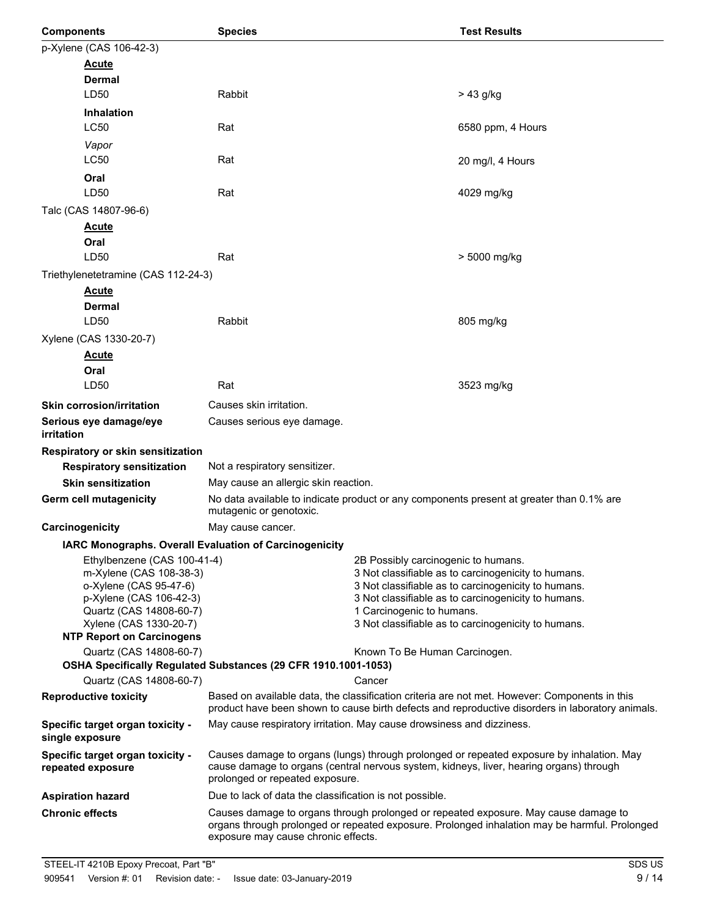| <b>Components</b>                                                                                                                                                                                    | <b>Species</b>                                                                                                                                                                                                              |                                                                                                                                                                                                                                                                                              | <b>Test Results</b> |
|------------------------------------------------------------------------------------------------------------------------------------------------------------------------------------------------------|-----------------------------------------------------------------------------------------------------------------------------------------------------------------------------------------------------------------------------|----------------------------------------------------------------------------------------------------------------------------------------------------------------------------------------------------------------------------------------------------------------------------------------------|---------------------|
| p-Xylene (CAS 106-42-3)                                                                                                                                                                              |                                                                                                                                                                                                                             |                                                                                                                                                                                                                                                                                              |                     |
| <b>Acute</b>                                                                                                                                                                                         |                                                                                                                                                                                                                             |                                                                                                                                                                                                                                                                                              |                     |
| <b>Dermal</b>                                                                                                                                                                                        |                                                                                                                                                                                                                             |                                                                                                                                                                                                                                                                                              |                     |
| LD50                                                                                                                                                                                                 | Rabbit                                                                                                                                                                                                                      |                                                                                                                                                                                                                                                                                              | $> 43$ g/kg         |
| <b>Inhalation</b>                                                                                                                                                                                    |                                                                                                                                                                                                                             |                                                                                                                                                                                                                                                                                              |                     |
| <b>LC50</b>                                                                                                                                                                                          | Rat                                                                                                                                                                                                                         |                                                                                                                                                                                                                                                                                              | 6580 ppm, 4 Hours   |
| Vapor                                                                                                                                                                                                |                                                                                                                                                                                                                             |                                                                                                                                                                                                                                                                                              |                     |
| <b>LC50</b>                                                                                                                                                                                          | Rat                                                                                                                                                                                                                         |                                                                                                                                                                                                                                                                                              | 20 mg/l, 4 Hours    |
| Oral                                                                                                                                                                                                 |                                                                                                                                                                                                                             |                                                                                                                                                                                                                                                                                              |                     |
| LD50                                                                                                                                                                                                 | Rat                                                                                                                                                                                                                         |                                                                                                                                                                                                                                                                                              | 4029 mg/kg          |
| Talc (CAS 14807-96-6)                                                                                                                                                                                |                                                                                                                                                                                                                             |                                                                                                                                                                                                                                                                                              |                     |
| <u>Acute</u>                                                                                                                                                                                         |                                                                                                                                                                                                                             |                                                                                                                                                                                                                                                                                              |                     |
| Oral                                                                                                                                                                                                 |                                                                                                                                                                                                                             |                                                                                                                                                                                                                                                                                              |                     |
| LD50                                                                                                                                                                                                 | Rat                                                                                                                                                                                                                         |                                                                                                                                                                                                                                                                                              | > 5000 mg/kg        |
| Triethylenetetramine (CAS 112-24-3)                                                                                                                                                                  |                                                                                                                                                                                                                             |                                                                                                                                                                                                                                                                                              |                     |
| <u>Acute</u>                                                                                                                                                                                         |                                                                                                                                                                                                                             |                                                                                                                                                                                                                                                                                              |                     |
| Dermal                                                                                                                                                                                               |                                                                                                                                                                                                                             |                                                                                                                                                                                                                                                                                              |                     |
| LD50                                                                                                                                                                                                 | Rabbit                                                                                                                                                                                                                      |                                                                                                                                                                                                                                                                                              | 805 mg/kg           |
| Xylene (CAS 1330-20-7)                                                                                                                                                                               |                                                                                                                                                                                                                             |                                                                                                                                                                                                                                                                                              |                     |
| <b>Acute</b>                                                                                                                                                                                         |                                                                                                                                                                                                                             |                                                                                                                                                                                                                                                                                              |                     |
| Oral<br>LD50                                                                                                                                                                                         | Rat                                                                                                                                                                                                                         |                                                                                                                                                                                                                                                                                              | 3523 mg/kg          |
|                                                                                                                                                                                                      |                                                                                                                                                                                                                             |                                                                                                                                                                                                                                                                                              |                     |
| <b>Skin corrosion/irritation</b>                                                                                                                                                                     | Causes skin irritation.                                                                                                                                                                                                     |                                                                                                                                                                                                                                                                                              |                     |
| Serious eye damage/eye<br>irritation                                                                                                                                                                 | Causes serious eye damage.                                                                                                                                                                                                  |                                                                                                                                                                                                                                                                                              |                     |
| Respiratory or skin sensitization                                                                                                                                                                    |                                                                                                                                                                                                                             |                                                                                                                                                                                                                                                                                              |                     |
| <b>Respiratory sensitization</b>                                                                                                                                                                     | Not a respiratory sensitizer.                                                                                                                                                                                               |                                                                                                                                                                                                                                                                                              |                     |
| <b>Skin sensitization</b>                                                                                                                                                                            | May cause an allergic skin reaction.                                                                                                                                                                                        |                                                                                                                                                                                                                                                                                              |                     |
| <b>Germ cell mutagenicity</b>                                                                                                                                                                        | No data available to indicate product or any components present at greater than 0.1% are<br>mutagenic or genotoxic.                                                                                                         |                                                                                                                                                                                                                                                                                              |                     |
| Carcinogenicity                                                                                                                                                                                      | May cause cancer.                                                                                                                                                                                                           |                                                                                                                                                                                                                                                                                              |                     |
| IARC Monographs. Overall Evaluation of Carcinogenicity                                                                                                                                               |                                                                                                                                                                                                                             |                                                                                                                                                                                                                                                                                              |                     |
| Ethylbenzene (CAS 100-41-4)<br>m-Xylene (CAS 108-38-3)<br>o-Xylene (CAS 95-47-6)<br>p-Xylene (CAS 106-42-3)<br>Quartz (CAS 14808-60-7)<br>Xylene (CAS 1330-20-7)<br><b>NTP Report on Carcinogens</b> |                                                                                                                                                                                                                             | 2B Possibly carcinogenic to humans.<br>3 Not classifiable as to carcinogenicity to humans.<br>3 Not classifiable as to carcinogenicity to humans.<br>3 Not classifiable as to carcinogenicity to humans.<br>1 Carcinogenic to humans.<br>3 Not classifiable as to carcinogenicity to humans. |                     |
| Quartz (CAS 14808-60-7)                                                                                                                                                                              |                                                                                                                                                                                                                             |                                                                                                                                                                                                                                                                                              |                     |
|                                                                                                                                                                                                      | Known To Be Human Carcinogen.<br>OSHA Specifically Regulated Substances (29 CFR 1910.1001-1053)                                                                                                                             |                                                                                                                                                                                                                                                                                              |                     |
| Quartz (CAS 14808-60-7)                                                                                                                                                                              |                                                                                                                                                                                                                             | Cancer                                                                                                                                                                                                                                                                                       |                     |
| <b>Reproductive toxicity</b>                                                                                                                                                                         | Based on available data, the classification criteria are not met. However: Components in this<br>product have been shown to cause birth defects and reproductive disorders in laboratory animals.                           |                                                                                                                                                                                                                                                                                              |                     |
| Specific target organ toxicity -<br>single exposure                                                                                                                                                  | May cause respiratory irritation. May cause drowsiness and dizziness.                                                                                                                                                       |                                                                                                                                                                                                                                                                                              |                     |
| Specific target organ toxicity -<br>repeated exposure                                                                                                                                                | Causes damage to organs (lungs) through prolonged or repeated exposure by inhalation. May<br>cause damage to organs (central nervous system, kidneys, liver, hearing organs) through<br>prolonged or repeated exposure.     |                                                                                                                                                                                                                                                                                              |                     |
| <b>Aspiration hazard</b>                                                                                                                                                                             | Due to lack of data the classification is not possible.                                                                                                                                                                     |                                                                                                                                                                                                                                                                                              |                     |
| <b>Chronic effects</b>                                                                                                                                                                               | Causes damage to organs through prolonged or repeated exposure. May cause damage to<br>organs through prolonged or repeated exposure. Prolonged inhalation may be harmful. Prolonged<br>exposure may cause chronic effects. |                                                                                                                                                                                                                                                                                              |                     |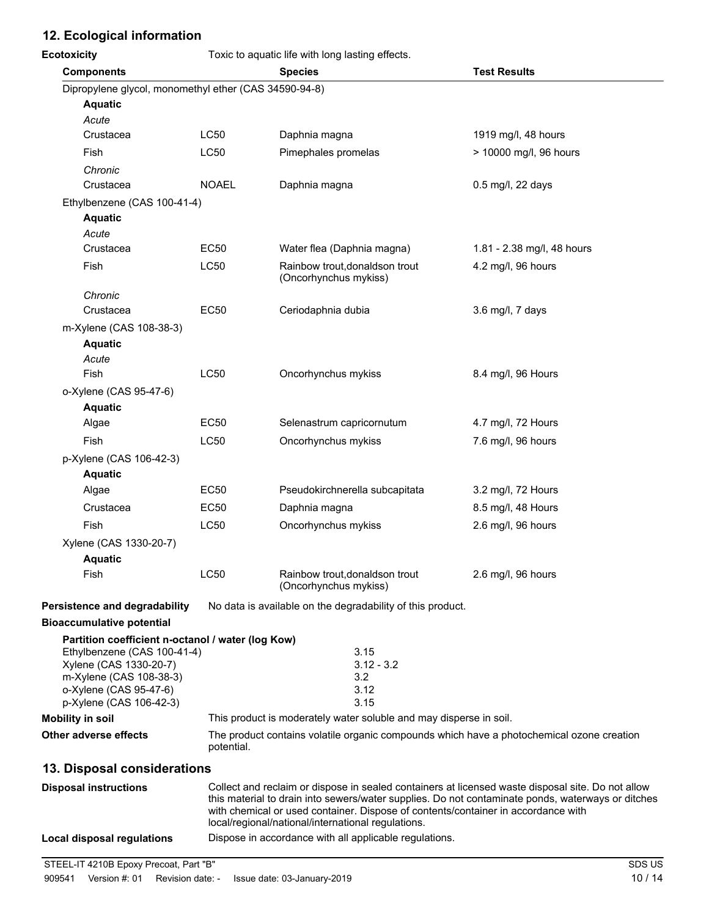## **12. Ecological information**

| <b>Ecotoxicity</b>                                    |              | Toxic to aquatic life with long lasting effects.        |                                                                    |                                                                                                                                                                                                        |
|-------------------------------------------------------|--------------|---------------------------------------------------------|--------------------------------------------------------------------|--------------------------------------------------------------------------------------------------------------------------------------------------------------------------------------------------------|
| <b>Components</b>                                     |              | <b>Species</b>                                          |                                                                    | <b>Test Results</b>                                                                                                                                                                                    |
| Dipropylene glycol, monomethyl ether (CAS 34590-94-8) |              |                                                         |                                                                    |                                                                                                                                                                                                        |
| <b>Aquatic</b>                                        |              |                                                         |                                                                    |                                                                                                                                                                                                        |
| Acute                                                 |              |                                                         |                                                                    |                                                                                                                                                                                                        |
| Crustacea                                             | <b>LC50</b>  | Daphnia magna                                           |                                                                    | 1919 mg/l, 48 hours                                                                                                                                                                                    |
| Fish                                                  | <b>LC50</b>  | Pimephales promelas                                     |                                                                    | > 10000 mg/l, 96 hours                                                                                                                                                                                 |
| Chronic                                               |              |                                                         |                                                                    |                                                                                                                                                                                                        |
| Crustacea                                             | <b>NOAEL</b> | Daphnia magna                                           |                                                                    | 0.5 mg/l, 22 days                                                                                                                                                                                      |
| Ethylbenzene (CAS 100-41-4)                           |              |                                                         |                                                                    |                                                                                                                                                                                                        |
| <b>Aquatic</b>                                        |              |                                                         |                                                                    |                                                                                                                                                                                                        |
| Acute<br>Crustacea                                    | <b>EC50</b>  | Water flea (Daphnia magna)                              |                                                                    | 1.81 - 2.38 mg/l, 48 hours                                                                                                                                                                             |
| Fish                                                  | LC50         | Rainbow trout, donaldson trout                          |                                                                    | 4.2 mg/l, 96 hours                                                                                                                                                                                     |
|                                                       |              | (Oncorhynchus mykiss)                                   |                                                                    |                                                                                                                                                                                                        |
| Chronic                                               |              |                                                         |                                                                    |                                                                                                                                                                                                        |
| Crustacea                                             | <b>EC50</b>  | Ceriodaphnia dubia                                      |                                                                    | 3.6 mg/l, 7 days                                                                                                                                                                                       |
| m-Xylene (CAS 108-38-3)                               |              |                                                         |                                                                    |                                                                                                                                                                                                        |
| <b>Aquatic</b>                                        |              |                                                         |                                                                    |                                                                                                                                                                                                        |
| Acute                                                 |              |                                                         |                                                                    |                                                                                                                                                                                                        |
| Fish                                                  | LC50         | Oncorhynchus mykiss                                     |                                                                    | 8.4 mg/l, 96 Hours                                                                                                                                                                                     |
| o-Xylene (CAS 95-47-6)                                |              |                                                         |                                                                    |                                                                                                                                                                                                        |
| <b>Aquatic</b>                                        |              |                                                         |                                                                    |                                                                                                                                                                                                        |
| Algae                                                 | <b>EC50</b>  | Selenastrum capricornutum                               |                                                                    | 4.7 mg/l, 72 Hours                                                                                                                                                                                     |
| Fish                                                  | <b>LC50</b>  | Oncorhynchus mykiss                                     |                                                                    | 7.6 mg/l, 96 hours                                                                                                                                                                                     |
| p-Xylene (CAS 106-42-3)                               |              |                                                         |                                                                    |                                                                                                                                                                                                        |
| <b>Aquatic</b>                                        |              |                                                         |                                                                    |                                                                                                                                                                                                        |
| Algae                                                 | <b>EC50</b>  |                                                         | Pseudokirchnerella subcapitata                                     | 3.2 mg/l, 72 Hours                                                                                                                                                                                     |
| Crustacea                                             | <b>EC50</b>  | Daphnia magna                                           |                                                                    | 8.5 mg/l, 48 Hours                                                                                                                                                                                     |
| Fish                                                  | <b>LC50</b>  | Oncorhynchus mykiss                                     |                                                                    | 2.6 mg/l, 96 hours                                                                                                                                                                                     |
| Xylene (CAS 1330-20-7)                                |              |                                                         |                                                                    |                                                                                                                                                                                                        |
| <b>Aquatic</b>                                        |              |                                                         |                                                                    |                                                                                                                                                                                                        |
| Fish                                                  | LC50         | Rainbow trout, donaldson trout<br>(Oncorhynchus mykiss) |                                                                    | 2.6 mg/l, 96 hours                                                                                                                                                                                     |
| Persistence and degradability                         |              |                                                         | No data is available on the degradability of this product.         |                                                                                                                                                                                                        |
| <b>Bioaccumulative potential</b>                      |              |                                                         |                                                                    |                                                                                                                                                                                                        |
| Partition coefficient n-octanol / water (log Kow)     |              |                                                         |                                                                    |                                                                                                                                                                                                        |
| Ethylbenzene (CAS 100-41-4)<br>Xylene (CAS 1330-20-7) |              |                                                         | 3.15<br>$3.12 - 3.2$                                               |                                                                                                                                                                                                        |
| m-Xylene (CAS 108-38-3)                               |              |                                                         | 3.2                                                                |                                                                                                                                                                                                        |
| o-Xylene (CAS 95-47-6)                                |              |                                                         | 3.12                                                               |                                                                                                                                                                                                        |
| p-Xylene (CAS 106-42-3)                               |              |                                                         | 3.15                                                               |                                                                                                                                                                                                        |
| <b>Mobility in soil</b>                               |              |                                                         | This product is moderately water soluble and may disperse in soil. |                                                                                                                                                                                                        |
| Other adverse effects                                 | potential.   |                                                         |                                                                    | The product contains volatile organic compounds which have a photochemical ozone creation                                                                                                              |
| 13. Disposal considerations                           |              |                                                         |                                                                    |                                                                                                                                                                                                        |
| <b>Disposal instructions</b>                          |              |                                                         |                                                                    | Collect and reclaim or dispose in sealed containers at licensed waste disposal site. Do not allow<br>this material to drain into sewers/water supplies. Do not contaminate ponds, waterways or ditches |
|                                                       |              |                                                         |                                                                    | with chemical or used container. Dispose of contents/container in accordance with                                                                                                                      |
|                                                       |              | local/regional/national/international regulations.      |                                                                    |                                                                                                                                                                                                        |
| <b>Local disposal regulations</b>                     |              |                                                         | Dispose in accordance with all applicable regulations.             |                                                                                                                                                                                                        |

STEEL-IT 4210B Epoxy Precoat, Part "B" SDS US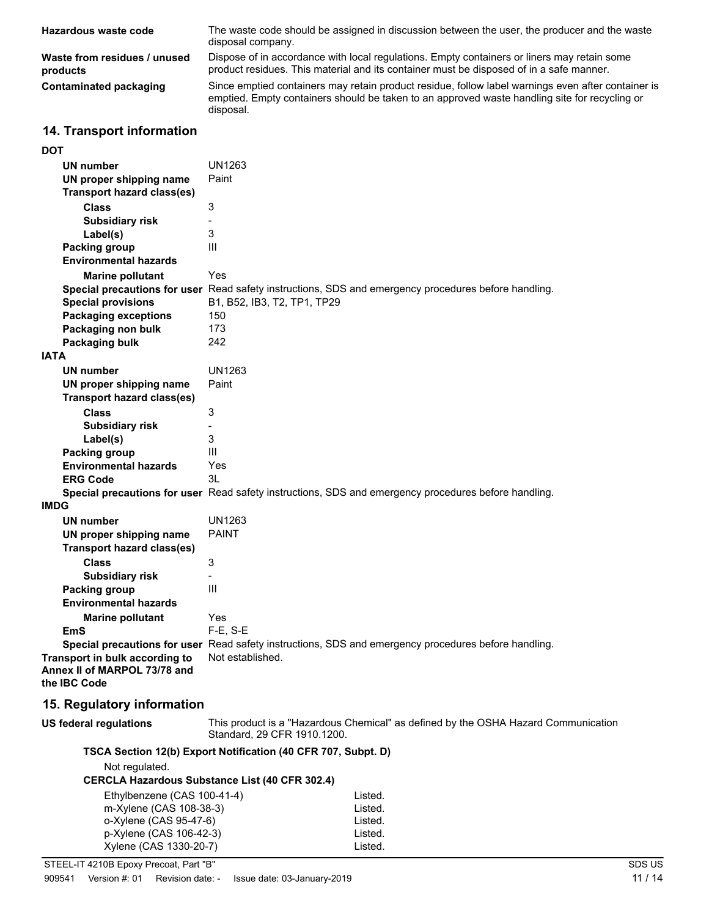| The waste code should be assigned in discussion between the user, the producer and the waste<br>Hazardous waste code<br>disposal company.<br>Dispose of in accordance with local regulations. Empty containers or liners may retain some<br>Waste from residues / unused<br>product residues. This material and its container must be disposed of in a safe manner.<br>products<br>Since emptied containers may retain product residue, follow label warnings even after container is<br><b>Contaminated packaging</b><br>emptied. Empty containers should be taken to an approved waste handling site for recycling or<br>disposal.<br>14. Transport information<br><b>DOT</b><br><b>UN1263</b><br>UN number<br>Paint<br>UN proper shipping name<br><b>Transport hazard class(es)</b><br>3<br><b>Class</b><br><b>Subsidiary risk</b><br>$\qquad \qquad \blacksquare$<br>3<br>Label(s)<br>$\mathbf{III}$<br>Packing group<br><b>Environmental hazards</b><br>Yes<br><b>Marine pollutant</b><br>Special precautions for user Read safety instructions, SDS and emergency procedures before handling.<br><b>Special provisions</b><br>B1, B52, IB3, T2, TP1, TP29<br><b>Packaging exceptions</b><br>150<br>173<br>Packaging non bulk<br>242<br>Packaging bulk<br><b>IATA</b><br><b>UN1263</b><br>UN number<br>UN proper shipping name<br>Paint<br>Transport hazard class(es)<br><b>Class</b><br>3<br><b>Subsidiary risk</b><br>3<br>Label(s) |  |
|--------------------------------------------------------------------------------------------------------------------------------------------------------------------------------------------------------------------------------------------------------------------------------------------------------------------------------------------------------------------------------------------------------------------------------------------------------------------------------------------------------------------------------------------------------------------------------------------------------------------------------------------------------------------------------------------------------------------------------------------------------------------------------------------------------------------------------------------------------------------------------------------------------------------------------------------------------------------------------------------------------------------------------------------------------------------------------------------------------------------------------------------------------------------------------------------------------------------------------------------------------------------------------------------------------------------------------------------------------------------------------------------------------------------------------------------|--|
|                                                                                                                                                                                                                                                                                                                                                                                                                                                                                                                                                                                                                                                                                                                                                                                                                                                                                                                                                                                                                                                                                                                                                                                                                                                                                                                                                                                                                                            |  |
|                                                                                                                                                                                                                                                                                                                                                                                                                                                                                                                                                                                                                                                                                                                                                                                                                                                                                                                                                                                                                                                                                                                                                                                                                                                                                                                                                                                                                                            |  |
|                                                                                                                                                                                                                                                                                                                                                                                                                                                                                                                                                                                                                                                                                                                                                                                                                                                                                                                                                                                                                                                                                                                                                                                                                                                                                                                                                                                                                                            |  |
|                                                                                                                                                                                                                                                                                                                                                                                                                                                                                                                                                                                                                                                                                                                                                                                                                                                                                                                                                                                                                                                                                                                                                                                                                                                                                                                                                                                                                                            |  |
|                                                                                                                                                                                                                                                                                                                                                                                                                                                                                                                                                                                                                                                                                                                                                                                                                                                                                                                                                                                                                                                                                                                                                                                                                                                                                                                                                                                                                                            |  |
|                                                                                                                                                                                                                                                                                                                                                                                                                                                                                                                                                                                                                                                                                                                                                                                                                                                                                                                                                                                                                                                                                                                                                                                                                                                                                                                                                                                                                                            |  |
|                                                                                                                                                                                                                                                                                                                                                                                                                                                                                                                                                                                                                                                                                                                                                                                                                                                                                                                                                                                                                                                                                                                                                                                                                                                                                                                                                                                                                                            |  |
|                                                                                                                                                                                                                                                                                                                                                                                                                                                                                                                                                                                                                                                                                                                                                                                                                                                                                                                                                                                                                                                                                                                                                                                                                                                                                                                                                                                                                                            |  |
|                                                                                                                                                                                                                                                                                                                                                                                                                                                                                                                                                                                                                                                                                                                                                                                                                                                                                                                                                                                                                                                                                                                                                                                                                                                                                                                                                                                                                                            |  |
|                                                                                                                                                                                                                                                                                                                                                                                                                                                                                                                                                                                                                                                                                                                                                                                                                                                                                                                                                                                                                                                                                                                                                                                                                                                                                                                                                                                                                                            |  |
|                                                                                                                                                                                                                                                                                                                                                                                                                                                                                                                                                                                                                                                                                                                                                                                                                                                                                                                                                                                                                                                                                                                                                                                                                                                                                                                                                                                                                                            |  |
|                                                                                                                                                                                                                                                                                                                                                                                                                                                                                                                                                                                                                                                                                                                                                                                                                                                                                                                                                                                                                                                                                                                                                                                                                                                                                                                                                                                                                                            |  |
|                                                                                                                                                                                                                                                                                                                                                                                                                                                                                                                                                                                                                                                                                                                                                                                                                                                                                                                                                                                                                                                                                                                                                                                                                                                                                                                                                                                                                                            |  |
|                                                                                                                                                                                                                                                                                                                                                                                                                                                                                                                                                                                                                                                                                                                                                                                                                                                                                                                                                                                                                                                                                                                                                                                                                                                                                                                                                                                                                                            |  |
|                                                                                                                                                                                                                                                                                                                                                                                                                                                                                                                                                                                                                                                                                                                                                                                                                                                                                                                                                                                                                                                                                                                                                                                                                                                                                                                                                                                                                                            |  |
|                                                                                                                                                                                                                                                                                                                                                                                                                                                                                                                                                                                                                                                                                                                                                                                                                                                                                                                                                                                                                                                                                                                                                                                                                                                                                                                                                                                                                                            |  |
|                                                                                                                                                                                                                                                                                                                                                                                                                                                                                                                                                                                                                                                                                                                                                                                                                                                                                                                                                                                                                                                                                                                                                                                                                                                                                                                                                                                                                                            |  |
|                                                                                                                                                                                                                                                                                                                                                                                                                                                                                                                                                                                                                                                                                                                                                                                                                                                                                                                                                                                                                                                                                                                                                                                                                                                                                                                                                                                                                                            |  |
|                                                                                                                                                                                                                                                                                                                                                                                                                                                                                                                                                                                                                                                                                                                                                                                                                                                                                                                                                                                                                                                                                                                                                                                                                                                                                                                                                                                                                                            |  |
|                                                                                                                                                                                                                                                                                                                                                                                                                                                                                                                                                                                                                                                                                                                                                                                                                                                                                                                                                                                                                                                                                                                                                                                                                                                                                                                                                                                                                                            |  |
|                                                                                                                                                                                                                                                                                                                                                                                                                                                                                                                                                                                                                                                                                                                                                                                                                                                                                                                                                                                                                                                                                                                                                                                                                                                                                                                                                                                                                                            |  |
|                                                                                                                                                                                                                                                                                                                                                                                                                                                                                                                                                                                                                                                                                                                                                                                                                                                                                                                                                                                                                                                                                                                                                                                                                                                                                                                                                                                                                                            |  |
|                                                                                                                                                                                                                                                                                                                                                                                                                                                                                                                                                                                                                                                                                                                                                                                                                                                                                                                                                                                                                                                                                                                                                                                                                                                                                                                                                                                                                                            |  |
|                                                                                                                                                                                                                                                                                                                                                                                                                                                                                                                                                                                                                                                                                                                                                                                                                                                                                                                                                                                                                                                                                                                                                                                                                                                                                                                                                                                                                                            |  |
|                                                                                                                                                                                                                                                                                                                                                                                                                                                                                                                                                                                                                                                                                                                                                                                                                                                                                                                                                                                                                                                                                                                                                                                                                                                                                                                                                                                                                                            |  |
| III<br>Packing group                                                                                                                                                                                                                                                                                                                                                                                                                                                                                                                                                                                                                                                                                                                                                                                                                                                                                                                                                                                                                                                                                                                                                                                                                                                                                                                                                                                                                       |  |
| <b>Environmental hazards</b><br>Yes                                                                                                                                                                                                                                                                                                                                                                                                                                                                                                                                                                                                                                                                                                                                                                                                                                                                                                                                                                                                                                                                                                                                                                                                                                                                                                                                                                                                        |  |
| 3L<br><b>ERG Code</b>                                                                                                                                                                                                                                                                                                                                                                                                                                                                                                                                                                                                                                                                                                                                                                                                                                                                                                                                                                                                                                                                                                                                                                                                                                                                                                                                                                                                                      |  |
| Special precautions for user Read safety instructions, SDS and emergency procedures before handling.                                                                                                                                                                                                                                                                                                                                                                                                                                                                                                                                                                                                                                                                                                                                                                                                                                                                                                                                                                                                                                                                                                                                                                                                                                                                                                                                       |  |
| <b>IMDG</b>                                                                                                                                                                                                                                                                                                                                                                                                                                                                                                                                                                                                                                                                                                                                                                                                                                                                                                                                                                                                                                                                                                                                                                                                                                                                                                                                                                                                                                |  |
| <b>UN number</b><br><b>UN1263</b>                                                                                                                                                                                                                                                                                                                                                                                                                                                                                                                                                                                                                                                                                                                                                                                                                                                                                                                                                                                                                                                                                                                                                                                                                                                                                                                                                                                                          |  |
| <b>PAINT</b><br>UN proper shipping name<br><b>Transport hazard class(es)</b>                                                                                                                                                                                                                                                                                                                                                                                                                                                                                                                                                                                                                                                                                                                                                                                                                                                                                                                                                                                                                                                                                                                                                                                                                                                                                                                                                               |  |
| <b>Class</b>                                                                                                                                                                                                                                                                                                                                                                                                                                                                                                                                                                                                                                                                                                                                                                                                                                                                                                                                                                                                                                                                                                                                                                                                                                                                                                                                                                                                                               |  |
| 3<br><b>Subsidiary risk</b><br>$\overline{\phantom{0}}$                                                                                                                                                                                                                                                                                                                                                                                                                                                                                                                                                                                                                                                                                                                                                                                                                                                                                                                                                                                                                                                                                                                                                                                                                                                                                                                                                                                    |  |
| Ш<br>Packing group                                                                                                                                                                                                                                                                                                                                                                                                                                                                                                                                                                                                                                                                                                                                                                                                                                                                                                                                                                                                                                                                                                                                                                                                                                                                                                                                                                                                                         |  |
| <b>Environmental hazards</b>                                                                                                                                                                                                                                                                                                                                                                                                                                                                                                                                                                                                                                                                                                                                                                                                                                                                                                                                                                                                                                                                                                                                                                                                                                                                                                                                                                                                               |  |
| Yes<br><b>Marine pollutant</b>                                                                                                                                                                                                                                                                                                                                                                                                                                                                                                                                                                                                                                                                                                                                                                                                                                                                                                                                                                                                                                                                                                                                                                                                                                                                                                                                                                                                             |  |
| F-E, S-E<br><b>EmS</b>                                                                                                                                                                                                                                                                                                                                                                                                                                                                                                                                                                                                                                                                                                                                                                                                                                                                                                                                                                                                                                                                                                                                                                                                                                                                                                                                                                                                                     |  |
| Special precautions for user Read safety instructions, SDS and emergency procedures before handling.                                                                                                                                                                                                                                                                                                                                                                                                                                                                                                                                                                                                                                                                                                                                                                                                                                                                                                                                                                                                                                                                                                                                                                                                                                                                                                                                       |  |
| Not established.<br>Transport in bulk according to                                                                                                                                                                                                                                                                                                                                                                                                                                                                                                                                                                                                                                                                                                                                                                                                                                                                                                                                                                                                                                                                                                                                                                                                                                                                                                                                                                                         |  |
| Annex II of MARPOL 73/78 and<br>the IBC Code                                                                                                                                                                                                                                                                                                                                                                                                                                                                                                                                                                                                                                                                                                                                                                                                                                                                                                                                                                                                                                                                                                                                                                                                                                                                                                                                                                                               |  |

## **15. Regulatory information**

| US federal regulations | This product is a "Hazardous Chemical" as defined by the OSHA Hazard Communication<br>Standard, 29 CFR 1910.1200. |
|------------------------|-------------------------------------------------------------------------------------------------------------------|
|                        |                                                                                                                   |

## **TSCA Section 12(b) Export Notification (40 CFR 707, Subpt. D)**

| Not regulated.<br>CERCLA Hazardous Substance List (40 CFR 302.4) |         |
|------------------------------------------------------------------|---------|
| Ethylbenzene (CAS 100-41-4)                                      | Listed. |
| m-Xylene (CAS 108-38-3)                                          | Listed. |
| o-Xylene (CAS 95-47-6)                                           | Listed. |
| p-Xylene (CAS 106-42-3)                                          | Listed. |
| Xylene (CAS 1330-20-7)                                           | Listed. |
|                                                                  |         |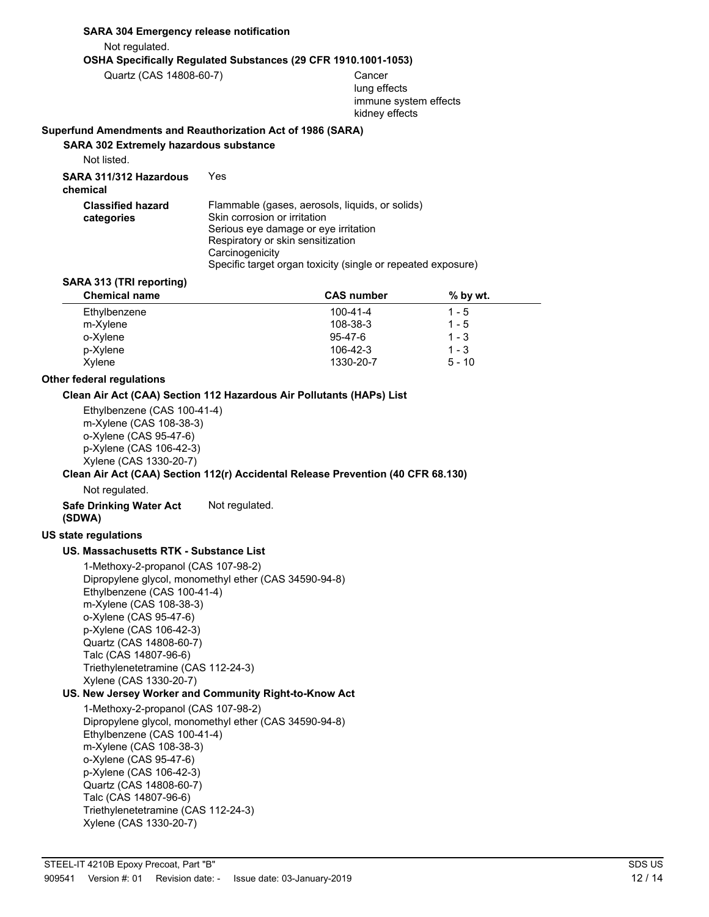### **SARA 304 Emergency release notification**

Not regulated.

**OSHA Specifically Regulated Substances (29 CFR 1910.1001-1053)**

Quartz (CAS 14808-60-7) Cancer

lung effects immune system effects kidney effects

#### **Superfund Amendments and Reauthorization Act of 1986 (SARA)**

**SARA 302 Extremely hazardous substance**

Not listed.

**SARA 311/312 Hazardous** Yes **chemical**

| <b>Classified hazard</b> | Flammable (gases, aerosols, liquids, or solids)              |
|--------------------------|--------------------------------------------------------------|
| categories               | Skin corrosion or irritation                                 |
|                          | Serious eve damage or eve irritation                         |
|                          | Respiratory or skin sensitization                            |
|                          | Carcinogenicity                                              |
|                          | Specific target organ toxicity (single or repeated exposure) |

#### **SARA 313 (TRI reporting)**

| <b>Chemical name</b> | <b>CAS number</b> | $%$ by wt. |  |
|----------------------|-------------------|------------|--|
| Ethylbenzene         | $100 - 41 - 4$    | 1 - 5      |  |
| m-Xylene             | 108-38-3          | $1 - 5$    |  |
| o-Xylene             | $95 - 47 - 6$     | $1 - 3$    |  |
| p-Xylene             | 106-42-3          | $1 - 3$    |  |
| Xylene               | 1330-20-7         | $5 - 10$   |  |

#### **Other federal regulations**

#### **Clean Air Act (CAA) Section 112 Hazardous Air Pollutants (HAPs) List**

Ethylbenzene (CAS 100-41-4) m-Xylene (CAS 108-38-3) o-Xylene (CAS 95-47-6) p-Xylene (CAS 106-42-3) Xylene (CAS 1330-20-7)

#### **Clean Air Act (CAA) Section 112(r) Accidental Release Prevention (40 CFR 68.130)**

Not regulated.

**Safe Drinking Water Act** Not regulated. **(SDWA)**

#### **US state regulations**

#### **US. Massachusetts RTK - Substance List**

1-Methoxy-2-propanol (CAS 107-98-2) Dipropylene glycol, monomethyl ether (CAS 34590-94-8) Ethylbenzene (CAS 100-41-4) m-Xylene (CAS 108-38-3) o-Xylene (CAS 95-47-6) p-Xylene (CAS 106-42-3) Quartz (CAS 14808-60-7) Talc (CAS 14807-96-6) Triethylenetetramine (CAS 112-24-3) Xylene (CAS 1330-20-7)

#### **US. New Jersey Worker and Community Right-to-Know Act**

1-Methoxy-2-propanol (CAS 107-98-2) Dipropylene glycol, monomethyl ether (CAS 34590-94-8) Ethylbenzene (CAS 100-41-4) m-Xylene (CAS 108-38-3) o-Xylene (CAS 95-47-6) p-Xylene (CAS 106-42-3) Quartz (CAS 14808-60-7) Talc (CAS 14807-96-6) Triethylenetetramine (CAS 112-24-3) Xylene (CAS 1330-20-7)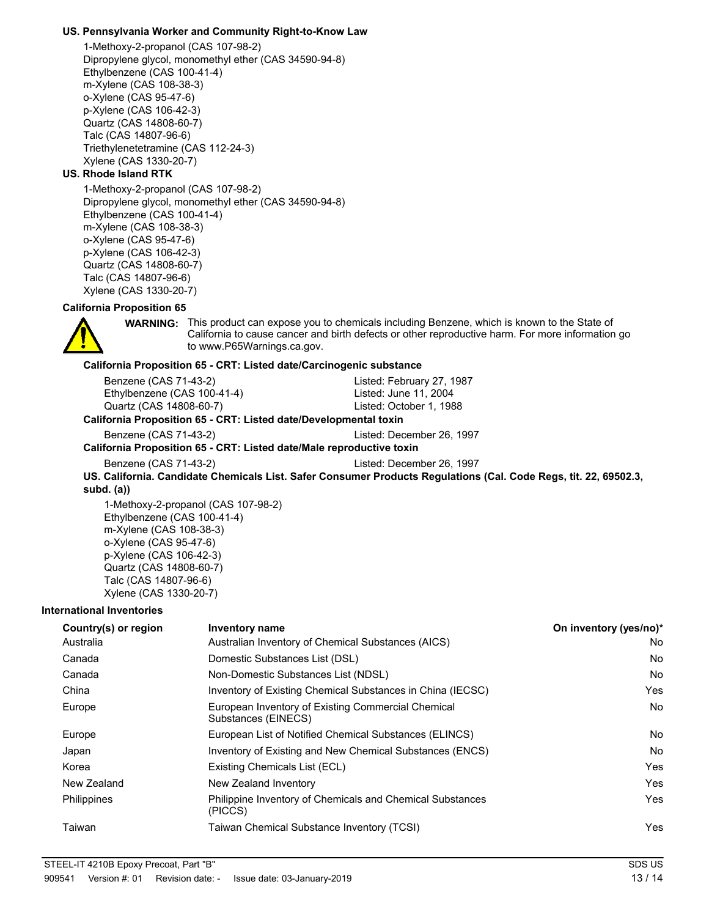#### **US. Pennsylvania Worker and Community Right-to-Know Law**

1-Methoxy-2-propanol (CAS 107-98-2) Dipropylene glycol, monomethyl ether (CAS 34590-94-8) Ethylbenzene (CAS 100-41-4) m-Xylene (CAS 108-38-3) o-Xylene (CAS 95-47-6) p-Xylene (CAS 106-42-3) Quartz (CAS 14808-60-7) Talc (CAS 14807-96-6) Triethylenetetramine (CAS 112-24-3) Xylene (CAS 1330-20-7)

#### **US. Rhode Island RTK**

1-Methoxy-2-propanol (CAS 107-98-2) Dipropylene glycol, monomethyl ether (CAS 34590-94-8) Ethylbenzene (CAS 100-41-4) m-Xylene (CAS 108-38-3) o-Xylene (CAS 95-47-6) p-Xylene (CAS 106-42-3) Quartz (CAS 14808-60-7) Talc (CAS 14807-96-6) Xylene (CAS 1330-20-7)

### **California Proposition 65**



**WARNING:** This product can expose you to chemicals including Benzene, which is known to the State of California to cause cancer and birth defects or other reproductive harm. For more information go to www.P65Warnings.ca.gov.

#### **California Proposition 65 - CRT: Listed date/Carcinogenic substance**

| ilifornia Dranasitian CE _CDT: Listed dete/Developmental texin |                           |  |
|----------------------------------------------------------------|---------------------------|--|
| Quartz (CAS 14808-60-7)                                        | Listed: October 1, 1988   |  |
| Ethylbenzene (CAS 100-41-4)                                    | Listed: June 11, 2004     |  |
| Benzene (CAS 71-43-2)                                          | Listed: February 27, 1987 |  |

#### **California Proposition 65 - CRT: Listed date/Developmental toxin**

Benzene (CAS 71-43-2) Listed: December 26, 1997

**California Proposition 65 - CRT: Listed date/Male reproductive toxin**

Benzene (CAS 71-43-2) Listed: December 26, 1997

**US. California. Candidate Chemicals List. Safer Consumer Products Regulations (Cal. Code Regs, tit. 22, 69502.3, subd. (a))**

1-Methoxy-2-propanol (CAS 107-98-2) Ethylbenzene (CAS 100-41-4) m-Xylene (CAS 108-38-3) o-Xylene (CAS 95-47-6) p-Xylene (CAS 106-42-3) Quartz (CAS 14808-60-7) Talc (CAS 14807-96-6) Xylene (CAS 1330-20-7)

#### **International Inventories**

| Country(s) or region | <b>Inventory name</b>                                                     | On inventory (yes/no)* |
|----------------------|---------------------------------------------------------------------------|------------------------|
| Australia            | Australian Inventory of Chemical Substances (AICS)                        | No.                    |
| Canada               | Domestic Substances List (DSL)                                            | N <sub>o</sub>         |
| Canada               | Non-Domestic Substances List (NDSL)                                       | N <sub>o</sub>         |
| China                | Inventory of Existing Chemical Substances in China (IECSC)                | Yes                    |
| Europe               | European Inventory of Existing Commercial Chemical<br>Substances (EINECS) | No.                    |
| Europe               | European List of Notified Chemical Substances (ELINCS)                    | No.                    |
| Japan                | Inventory of Existing and New Chemical Substances (ENCS)                  | <b>No</b>              |
| Korea                | Existing Chemicals List (ECL)                                             | Yes                    |
| New Zealand          | New Zealand Inventory                                                     | Yes                    |
| <b>Philippines</b>   | Philippine Inventory of Chemicals and Chemical Substances<br>(PICCS)      | Yes                    |
| Taiwan               | Taiwan Chemical Substance Inventory (TCSI)                                | Yes                    |